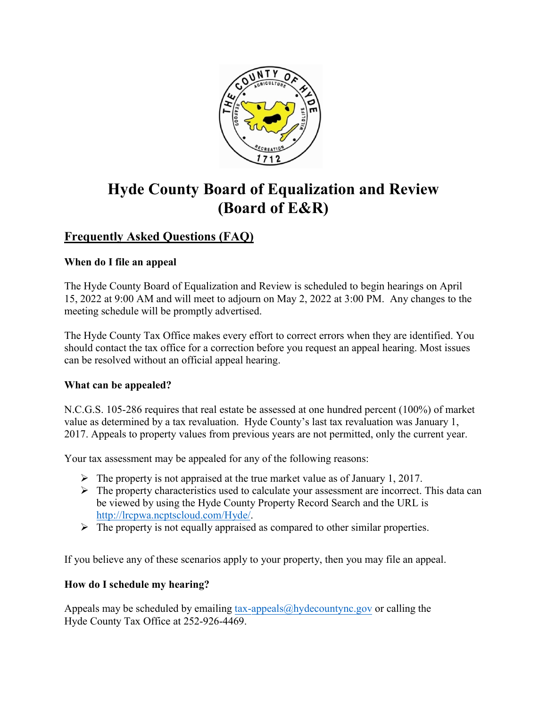

# **Hyde County Board of Equalization and Review (Board of E&R)**

## **Frequently Asked Questions (FAQ)**

## **When do I file an appeal**

The Hyde County Board of Equalization and Review is scheduled to begin hearings on April 15, 2022 at 9:00 AM and will meet to adjourn on May 2, 2022 at 3:00 PM. Any changes to the meeting schedule will be promptly advertised.

The Hyde County Tax Office makes every effort to correct errors when they are identified. You should contact the tax office for a correction before you request an appeal hearing. Most issues can be resolved without an official appeal hearing.

## **What can be appealed?**

N.C.G.S. 105-286 requires that real estate be assessed at one hundred percent (100%) of market value as determined by a tax revaluation. Hyde County's last tax revaluation was January 1, 2017. Appeals to property values from previous years are not permitted, only the current year.

Your tax assessment may be appealed for any of the following reasons:

- $\triangleright$  The property is not appraised at the true market value as of January 1, 2017.
- $\triangleright$  The property characteristics used to calculate your assessment are incorrect. This data can be viewed by using the Hyde County Property Record Search and the URL is [http://lrcpwa.ncptscloud.com/Hyde/.](http://lrcpwa.ncptscloud.com/Hyde/)
- $\triangleright$  The property is not equally appraised as compared to other similar properties.

If you believe any of these scenarios apply to your property, then you may file an appeal.

## **How do I schedule my hearing?**

Appeals may be scheduled by emailing  $tax\text{-}appeals@hydecountync.gov$  or calling the [Hyde County Tax Office at 2](mailto:tax-appeals@hydecountync.gov)52-926-4469.